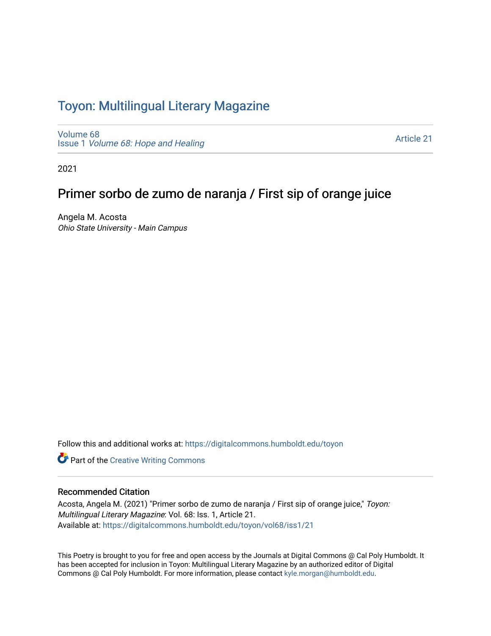#### Toyon: Multilingual Literar[y](https://digitalcommons.humboldt.edu/toyon) Magazine

[Volume 68](https://digitalcommons.humboldt.edu/toyon/vol68) Issue 1 [Volume 68: Hope and Healing](https://digitalcommons.humboldt.edu/toyon/vol68/iss1) 

[Article 21](https://digitalcommons.humboldt.edu/toyon/vol68/iss1/21) 

2021

### Primer sorbo de zumo de naranja / First sip of orange juice

Angela M. Acosta Ohio State University - Main Campus

Follow this and additional works at: [https://digitalcommons.humboldt.edu/toyon](https://digitalcommons.humboldt.edu/toyon?utm_source=digitalcommons.humboldt.edu%2Ftoyon%2Fvol68%2Fiss1%2F21&utm_medium=PDF&utm_campaign=PDFCoverPages)

**Part of the Creative Writing Commons** 

#### Recommended Citation

Acosta, Angela M. (2021) "Primer sorbo de zumo de naranja / First sip of orange juice," Toyon: Multilingual Literary Magazine: Vol. 68: Iss. 1, Article 21. Available at: [https://digitalcommons.humboldt.edu/toyon/vol68/iss1/21](https://digitalcommons.humboldt.edu/toyon/vol68/iss1/21?utm_source=digitalcommons.humboldt.edu%2Ftoyon%2Fvol68%2Fiss1%2F21&utm_medium=PDF&utm_campaign=PDFCoverPages) 

This Poetry is brought to you for free and open access by the Journals at Digital Commons @ Cal Poly Humboldt. It has been accepted for inclusion in Toyon: Multilingual Literary Magazine by an authorized editor of Digital Commons @ Cal Poly Humboldt. For more information, please contact [kyle.morgan@humboldt.edu](mailto:kyle.morgan@humboldt.edu).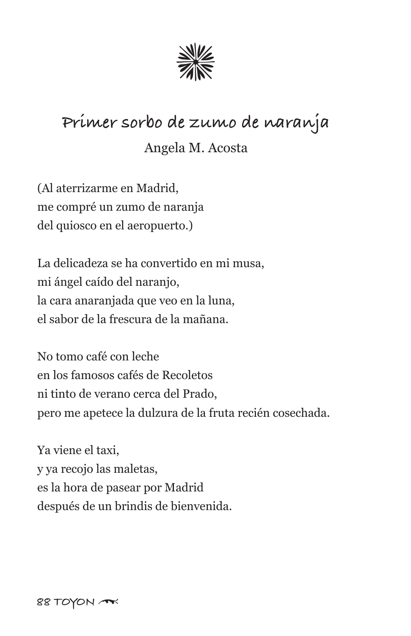

## **Primer sorbo de zumo de naranja**

#### Angela M. Acosta

(Al aterrizarme en Madrid, me compré un zumo de naranja del quiosco en el aeropuerto.)

La delicadeza se ha convertido en mi musa, mi ángel caído del naranjo, la cara anaranjada que veo en la luna, el sabor de la frescura de la mañana.

No tomo café con leche en los famosos cafés de Recoletos ni tinto de verano cerca del Prado, pero me apetece la dulzura de la fruta recién cosechada.

Ya viene el taxi, y ya recojo las maletas, es la hora de pasear por Madrid después de un brindis de bienvenida.